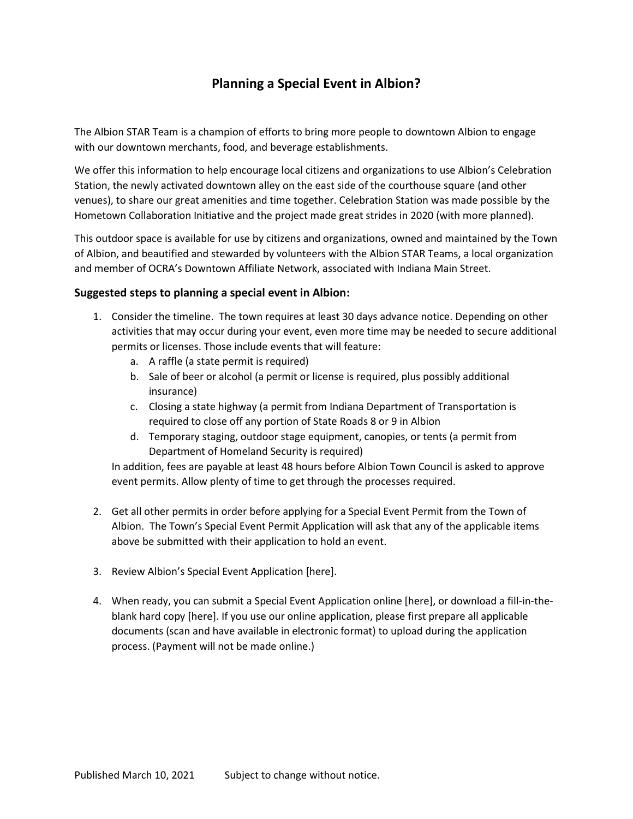# **Planning a Special Event in Albion?**

The Albion STAR Team is a champion of efforts to bring more people to downtown Albion to engage with our downtown merchants, food, and beverage establishments.

We offer this information to help encourage local citizens and organizations to use Albion's Celebration Station, the newly activated downtown alley on the east side of the courthouse square (and other venues), to share our great amenities and time together. Celebration Station was made possible by the Hometown Collaboration Initiative and the project made great strides in 2020 (with more planned).

This outdoor space is available for use by citizens and organizations, owned and maintained by the Town of Albion, and beautified and stewarded by volunteers with the Albion STAR Teams, a local organization and member of OCRA's Downtown Affiliate Network, associated with Indiana Main Street.

## **Suggested steps to planning a special event in Albion:**

- 1. Consider the timeline. The town requires at least 30 days advance notice. Depending on other activities that may occur during your event, even more time may be needed to secure additional permits or licenses. Those include events that will feature:
	- a. A raffle (a state permit is required)
	- b. Sale of beer or alcohol (a permit or license is required, plus possibly additional insurance)
	- c. Closing a state highway (a permit from Indiana Department of Transportation is required to close off any portion of State Roads 8 or 9 in Albion
	- d. Temporary staging, outdoor stage equipment, canopies, or tents (a permit from Department of Homeland Security is required)

In addition, fees are payable at least 48 hours before Albion Town Council is asked to approve event permits. Allow plenty of time to get through the processes required.

- 2. Get all other permits in order before applying for a Special Event Permit from the Town of Albion. The Town's Special Event Permit Application will ask that any of the applicable items above be submitted with their application to hold an event.
- 3. Review Albion's Special Event Application [here].
- 4. When ready, you can submit a Special Event Application online [here], or download a fill-in-theblank hard copy [here]. If you use our online application, please first prepare all applicable documents (scan and have available in electronic format) to upload during the application process. (Payment will not be made online.)